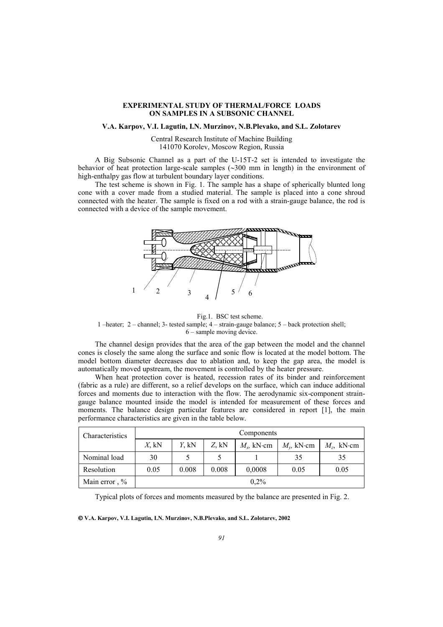## **EXPERIMENTAL STUDY OF THERMAL/FORCE LOADS ON SAMPLES IN A SUBSONIC CHANNEL**

## **V.A. Karpov, V.I. Lagutin, I.N. Murzinov, N.B.Plevako, and S.L. Zolotarev**

Central Research Institute of Machine Building 141070 Korolev, Moscow Region, Russia

A Big Subsonic Channel as a part of the U-15T-2 set is intended to investigate the behavior of heat protection large-scale samples (∼300 mm in length) in the environment of high-enthalpy gas flow at turbulent boundary layer conditions.

The test scheme is shown in Fig. 1. The sample has a shape of spherically blunted long cone with a cover made from a studied material. The sample is placed into a cone shroud connected with the heater. The sample is fixed on a rod with a strain-gauge balance, the rod is connected with a device of the sample movement.



Fig.1. BSC test scheme.

1 –heater; 2 – channel; 3- tested sample; 4 – strain-gauge balance; 5 – back protection shell; 6 – sample moving device.

The channel design provides that the area of the gap between the model and the channel cones is closely the same along the surface and sonic flow is located at the model bottom. The model bottom diameter decreases due to ablation and, to keep the gap area, the model is automatically moved upstream, the movement is controlled by the heater pressure.

When heat protection cover is heated, recession rates of its binder and reinforcement (fabric as a rule) are different, so a relief develops on the surface, which can induce additional forces and moments due to interaction with the flow. The aerodynamic six-component straingauge balance mounted inside the model is intended for measurement of these forces and moments. The balance design particular features are considered in report [1], the main performance characteristics are given in the table below.

| Characteristics | Components |       |       |               |                   |               |
|-----------------|------------|-------|-------|---------------|-------------------|---------------|
|                 | $X$ , kN   | Y. kN | Z. kN | $M_r$ , kN·cm | $M_{\nu}$ , kN·cm | $M_z$ , kN·cm |
| Nominal load    | 30         |       |       |               | 35                | 35            |
| Resolution      | 0.05       | 0.008 | 0.008 | 0,0008        | 0.05              | 0.05          |
| Main error, %   |            |       |       | $0.2\%$       |                   |               |

Typical plots of forces and moments measured by the balance are presented in Fig. 2.

**V.A. Karpov, V.I. Lagutin, I.N. Murzinov, N.B.Plevako, and S.L. Zolotarev, 2002**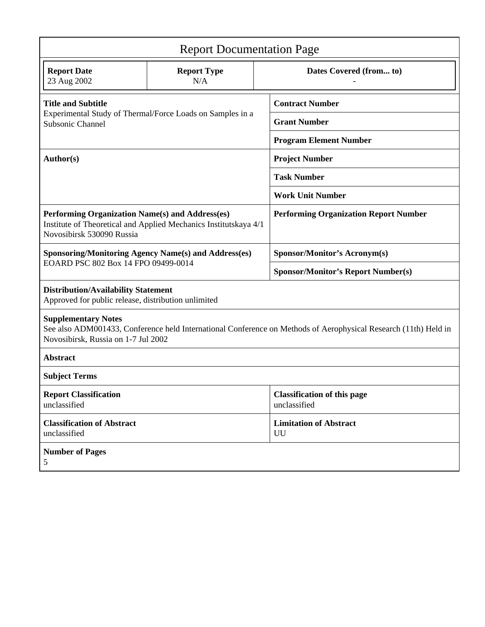| <b>Report Documentation Page</b>                                                                                                                                                     |                                                                  |  |                                                    |  |  |  |
|--------------------------------------------------------------------------------------------------------------------------------------------------------------------------------------|------------------------------------------------------------------|--|----------------------------------------------------|--|--|--|
| <b>Report Date</b><br>23 Aug 2002                                                                                                                                                    | <b>Report Type</b><br>N/A                                        |  | Dates Covered (from to)                            |  |  |  |
| <b>Title and Subtitle</b>                                                                                                                                                            |                                                                  |  | <b>Contract Number</b>                             |  |  |  |
| Experimental Study of Thermal/Force Loads on Samples in a<br>Subsonic Channel                                                                                                        |                                                                  |  | <b>Grant Number</b>                                |  |  |  |
|                                                                                                                                                                                      |                                                                  |  | <b>Program Element Number</b>                      |  |  |  |
| Author(s)                                                                                                                                                                            |                                                                  |  | <b>Project Number</b>                              |  |  |  |
|                                                                                                                                                                                      |                                                                  |  | <b>Task Number</b>                                 |  |  |  |
|                                                                                                                                                                                      |                                                                  |  | <b>Work Unit Number</b>                            |  |  |  |
| Performing Organization Name(s) and Address(es)<br>Novosibirsk 530090 Russia                                                                                                         | Institute of Theoretical and Applied Mechanics Institutskaya 4/1 |  | <b>Performing Organization Report Number</b>       |  |  |  |
| <b>Sponsoring/Monitoring Agency Name(s) and Address(es)</b><br>EOARD PSC 802 Box 14 FPO 09499-0014                                                                                   |                                                                  |  | <b>Sponsor/Monitor's Acronym(s)</b>                |  |  |  |
|                                                                                                                                                                                      |                                                                  |  | <b>Sponsor/Monitor's Report Number(s)</b>          |  |  |  |
| <b>Distribution/Availability Statement</b><br>Approved for public release, distribution unlimited                                                                                    |                                                                  |  |                                                    |  |  |  |
| <b>Supplementary Notes</b><br>See also ADM001433, Conference held International Conference on Methods of Aerophysical Research (11th) Held in<br>Novosibirsk, Russia on 1-7 Jul 2002 |                                                                  |  |                                                    |  |  |  |
| <b>Abstract</b>                                                                                                                                                                      |                                                                  |  |                                                    |  |  |  |
| <b>Subject Terms</b>                                                                                                                                                                 |                                                                  |  |                                                    |  |  |  |
| <b>Report Classification</b><br>unclassified                                                                                                                                         |                                                                  |  | <b>Classification of this page</b><br>unclassified |  |  |  |
| <b>Classification of Abstract</b><br>unclassified                                                                                                                                    |                                                                  |  | <b>Limitation of Abstract</b><br>UU                |  |  |  |
| <b>Number of Pages</b><br>5                                                                                                                                                          |                                                                  |  |                                                    |  |  |  |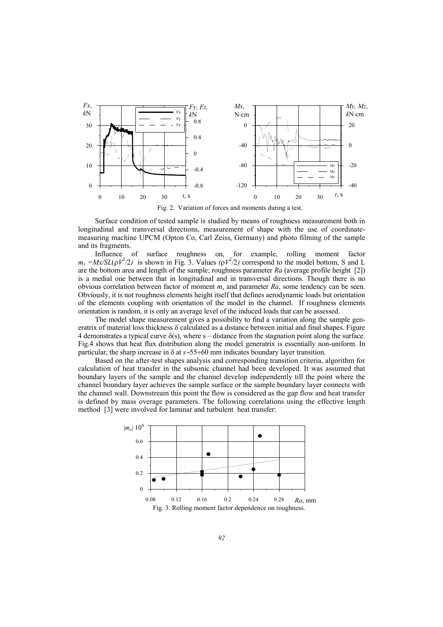

Fig. 2. Variation of forces and moments during a test.

Surface condition of tested sample is studied by means of roughness measurement both in longitudinal and transversal directions, measurement of shape with the use of coordinatemeasuring machine UPCM (Opton Co, Carl Zeiss, Germany) and photo filming of the sample and its fragments.

Influence of surface roughness on, for example, rolling moment factor  $m_x = Mx/SL(\rho V^2/2)$  is shown in Fig. 3. Values  $(\rho V^2/2)$  correspond to the model bottom, S and L are the bottom area and length of the sample; roughness parameter *Ra* (average profile height [2]) is a medial one between that in longitudinal and in transversal directions. Though there is no obvious correlation between factor of moment *mx* and parameter *Ra*, some tendency can be seen. Obviously, it is not roughness elements height itself that defines aerodynamic loads but orientation of the elements coupling with orientation of the model in the channel. If roughness elements orientation is random, it is only an average level of the induced loads that can be assessed.

The model shape measurement gives a possibility to find a variation along the sample generatrix of material loss thickness  $\delta$  calculated as a distance between initial and final shapes. Figure 4 demonstrates a typical curve  $\delta(s)$ , where  $s$  – distance from the stagnation point along the surface. Fig.4 shows that heat flux distribution along the model generatrix is essentially non-uniform. In particular, the sharp increase in δ at *s*∼55÷60 mm indicates boundary layer transition.

Based on the after-test shapes analysis and corresponding transition criteria, algorithm for calculation of heat transfer in the subsonic channel had been developed. It was assumed that boundary layers of the sample and the channel develop independently till the point where the channel boundary layer achieves the sample surface or the sample boundary layer connects with the channel wall. Downstream this point the flow is considered as the gap flow and heat transfer is defined by mass overage parameters. The following correlations using the effective length method [3] were involved for laminar and turbulent heat transfer:

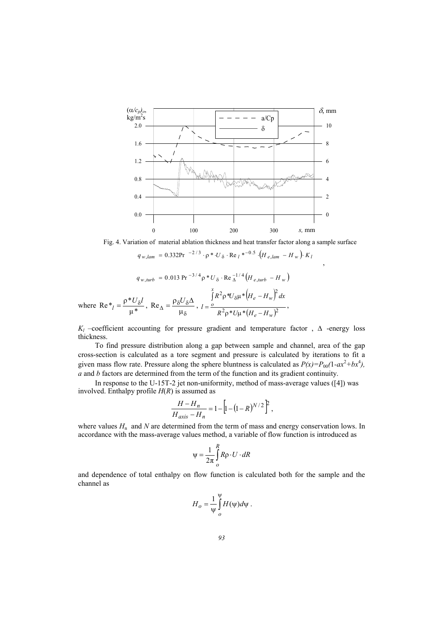

Fig. 4. Variation of material ablation thickness and heat transfer factor along a sample surface

,

$$
q_{w,lam} = 0.332 \text{Pr}^{-2/3} \cdot \rho * U_{\delta} \cdot \text{Re}_{l} * ^{-0.5} (H_{e,lam} - H_{w}) \cdot K_{l}
$$

$$
q_{w, turb} = 0.013 \text{ Pr}^{-3/4} \rho * U_{\delta} \cdot \text{Re} \frac{1}{\Delta}^{1/4} (H_{e, turb} - H_w)
$$

where  $\text{Re} \cdot v_l = \frac{\rho^* U_\delta l}{\mu^*}, \text{Re}_{\Delta} = \frac{\rho_\delta U_\delta l}{\mu_\delta}$  $Re_{\Delta} = \frac{\rho_{\delta} U_{\delta} \Delta}{\mu_{\delta}}$ ,  $l = \frac{\int R^2 \rho^* U_{\delta} \mu^* (H_e - H_w)}{R^2 \rho^* U_{\delta} \mu^* (H_e - H_w)}$  $^{2}\rho *U\mu * (H_{e}-H_{w})^{2}$  $2_{\infty}$   $\left| \begin{matrix} 2 \\ u \end{matrix} \right|$   $\left| \begin{matrix} 2 \\ u \end{matrix} \right|$  $^*U\mu^*$  $^*U_{\delta}\mu^*$  $e^{-H}w$  $e^{-H}w$ *x o*  $R^2 \rho^* U \mu^* (H_e - H)$  $R^2 \rho^* U_{\delta} \mu^* \left| H_e - H_w \right| dx$ *l*  $\rho^*U\mu^* (H_e$ ρ \* $U_8$ μ \* $(H_e -$ = ∫  $R^2$ ρ\* $U_δ$ ,

*Kl* –coefficient accounting for pressure gradient and temperature factor , ∆ -energy loss thickness.

To find pressure distribution along a gap between sample and channel, area of the gap cross-section is calculated as a tore segment and pressure is calculated by iterations to fit a given mass flow rate. Pressure along the sphere bluntness is calculated as  $P(x)=P_{00}(1-ax^2+bx^4)$ , *a* and *b* factors are determined from the term of the function and its gradient continuity.

In response to the U-15T-2 jet non-uniformity, method of mass-average values ([4]) was involved. Enthalpy profile  $H(R)$  is assumed as

$$
\frac{H - H_n}{H_{axis} - H_n} = 1 - \left[ 1 - (1 - R)^{N/2} \right]^2,
$$

where values  $H_n$  and  $N$  are determined from the term of mass and energy conservation lows. In accordance with the mass-average values method, a variable of flow function is introduced as

$$
\Psi = \frac{1}{2\pi} \int_{0}^{R} R \rho \cdot U \cdot dR
$$

and dependence of total enthalpy on flow function is calculated both for the sample and the channel as

$$
H_o = \frac{1}{\Psi} \int_{o}^{\Psi} H(\Psi) d\Psi.
$$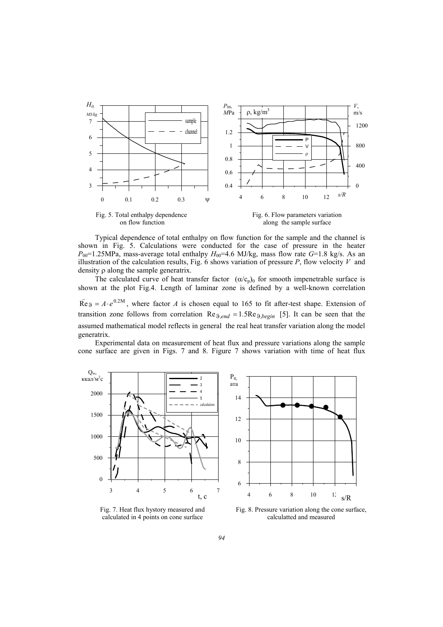

Typical dependence of total enthalpy on flow function for the sample and the channel is shown in Fig. 5. Calculations were conducted for the case of pressure in the heater  $P_{00}=1.25$ MPa, mass-average total enthalpy  $H_{00}=4.6$  MJ/kg, mass flow rate  $G=1.8$  kg/s. As an illustration of the calculation results, Fig. 6 shows variation of pressure *P*, flow velocity *V* and density ρ along the sample generatrix.

The calculated curve of heat transfer factor  $(\alpha/c_p)_0$  for smooth impenetrable surface is shown at the plot Fig.4. Length of laminar zone is defined by a well-known correlation  $\overline{Re}$  9 =  $A \cdot e^{0.2M}$ , where factor *A* is chosen equal to 165 to fit after-test shape. Extension of

transition zone follows from correlation  $Re_{\theta, end} = 1.5Re_{\theta, begin}$  [5]. It can be seen that the assumed mathematical model reflects in general the real heat transfer variation along the model generatrix.

Experimental data on measurement of heat flux and pressure variations along the sample cone surface are given in Figs. 7 and 8. Figure 7 shows variation with time of heat flux



Fig. 7. Heat flux hystory measured and calculated in 4 points on cone surface



 Fig. 8. Pressure variation along the cone surface, calculatted and measured